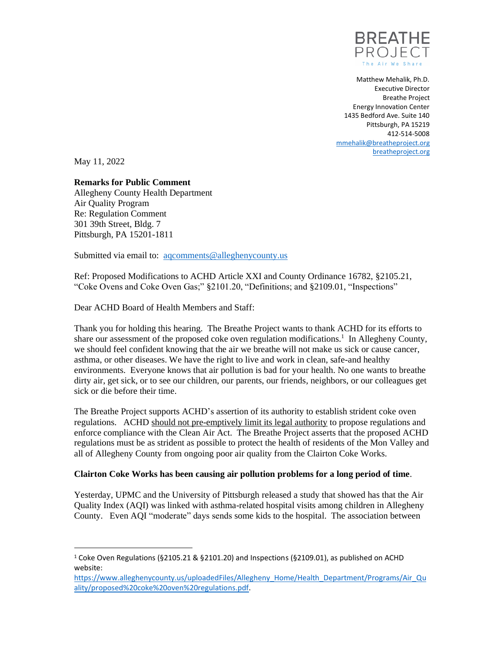

Matthew Mehalik, Ph.D. Executive Director Breathe Project Energy Innovation Center 1435 Bedford Ave. Suite 140 Pittsburgh, PA 15219 412-514-5008 [mmehalik@breatheproject.org](mailto:mmehalik@breatheproject.org) [breatheproject.org](http://breatheproject.org/)

May 11, 2022

## **Remarks for Public Comment**

Allegheny County Health Department Air Quality Program Re: Regulation Comment 301 39th Street, Bldg. 7 Pittsburgh, PA 15201-1811

Submitted via email to: agcomments@alleghenycounty.us

Ref: Proposed Modifications to ACHD Article XXI and County Ordinance 16782, §2105.21, "Coke Ovens and Coke Oven Gas;" §2101.20, "Definitions; and §2109.01, "Inspections"

Dear ACHD Board of Health Members and Staff:

Thank you for holding this hearing. The Breathe Project wants to thank ACHD for its efforts to share our assessment of the proposed coke oven regulation modifications.<sup>1</sup> In Allegheny County, we should feel confident knowing that the air we breathe will not make us sick or cause cancer, asthma, or other diseases. We have the right to live and work in clean, safe-and healthy environments. Everyone knows that air pollution is bad for your health. No one wants to breathe dirty air, get sick, or to see our children, our parents, our friends, neighbors, or our colleagues get sick or die before their time.

The Breathe Project supports ACHD's assertion of its authority to establish strident coke oven regulations. ACHD should not pre-emptively limit its legal authority to propose regulations and enforce compliance with the Clean Air Act. The Breathe Project asserts that the proposed ACHD regulations must be as strident as possible to protect the health of residents of the Mon Valley and all of Allegheny County from ongoing poor air quality from the Clairton Coke Works.

## **Clairton Coke Works has been causing air pollution problems for a long period of time**.

Yesterday, UPMC and the University of Pittsburgh released a study that showed has that the Air Quality Index (AQI) was linked with asthma-related hospital visits among children in Allegheny County. Even AQI "moderate" days sends some kids to the hospital. The association between

<sup>&</sup>lt;sup>1</sup> Coke Oven Regulations (§2105.21 & §2101.20) and Inspections (§2109.01), as published on ACHD website:

[https://www.alleghenycounty.us/uploadedFiles/Allegheny\\_Home/Health\\_Department/Programs/Air\\_Qu](https://www.alleghenycounty.us/uploadedFiles/Allegheny_Home/Health_Department/Programs/Air_Quality/proposed%20coke%20oven%20regulations.pdf) [ality/proposed%20coke%20oven%20regulations.pdf.](https://www.alleghenycounty.us/uploadedFiles/Allegheny_Home/Health_Department/Programs/Air_Quality/proposed%20coke%20oven%20regulations.pdf)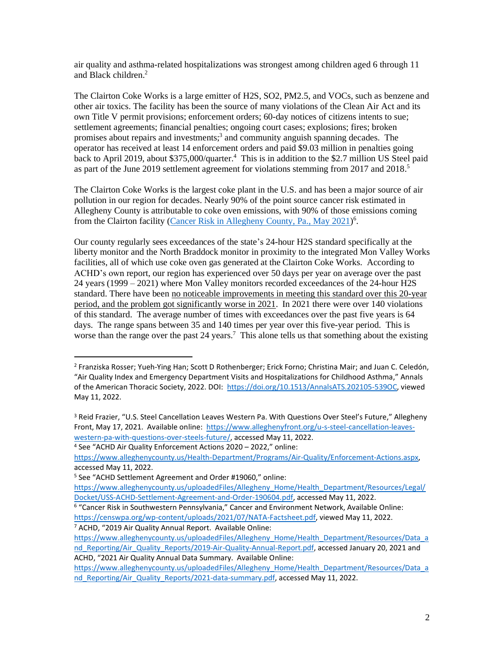air quality and asthma-related hospitalizations was strongest among children aged 6 through 11 and Black children. 2

The Clairton Coke Works is a large emitter of H2S, SO2, PM2.5, and VOCs, such as benzene and other air toxics. The facility has been the source of many violations of the Clean Air Act and its own Title V permit provisions; enforcement orders; 60-day notices of citizens intents to sue; settlement agreements; financial penalties; ongoing court cases; explosions; fires; broken promises about repairs and investments; 3 and community anguish spanning decades. The operator has received at least 14 enforcement orders and paid \$9.03 million in penalties going back to April 2019, about \$375,000/quarter.<sup>4</sup> This is in addition to the \$2.7 million US Steel paid as part of the June 2019 settlement agreement for violations stemming from 2017 and 2018.<sup>5</sup>

The Clairton Coke Works is the largest coke plant in the U.S. and has been a major source of air pollution in our region for decades. Nearly 90% of the point source cancer risk estimated in Allegheny County is attributable to coke oven emissions, with 90% of those emissions coming from the Clairton facility [\(Cancer Risk in Allegheny County, Pa., May 2021\)](https://censwpa.org/wp-content/uploads/2021/07/NATA-Factsheet.pdf)<sup>6</sup>.

Our county regularly sees exceedances of the state's 24-hour H2S standard specifically at the liberty monitor and the North Braddock monitor in proximity to the integrated Mon Valley Works facilities, all of which use coke oven gas generated at the Clairton Coke Works. According to ACHD's own report, our region has experienced over 50 days per year on average over the past 24 years (1999 – 2021) where Mon Valley monitors recorded exceedances of the 24-hour H2S standard. There have been no noticeable improvements in meeting this standard over this 20-year period, and the problem got significantly worse in 2021. In 2021 there were over 140 violations of this standard. The average number of times with exceedances over the past five years is 64 days. The range spans between 35 and 140 times per year over this five-year period. This is worse than the range over the past 24 years.<sup>7</sup> This alone tells us that something about the existing

<sup>4</sup> See "ACHD Air Quality Enforcement Actions 2020 – 2022," online:

<sup>2</sup> Franziska Rosser; Yueh-Ying Han; Scott D Rothenberger; Erick Forno; Christina Mair; and Juan C. Celedón, "Air Quality Index and Emergency Department Visits and Hospitalizations for Childhood Asthma," Annals of the American Thoracic Society, 2022. DOI: [https://doi.org/10.1513/AnnalsATS.202105-539OC,](https://doi.org/10.1513/AnnalsATS.202105-539OC) viewed May 11, 2022.

<sup>&</sup>lt;sup>3</sup> Reid Frazier, "U.S. Steel Cancellation Leaves Western Pa. With Questions Over Steel's Future," Allegheny Front, May 17, 2021. Available online: [https://www.alleghenyfront.org/u-s-steel-cancellation-leaves](https://www.alleghenyfront.org/u-s-steel-cancellation-leaves-western-pa-with-questions-over-steels-future/)[western-pa-with-questions-over-steels-future/,](https://www.alleghenyfront.org/u-s-steel-cancellation-leaves-western-pa-with-questions-over-steels-future/) accessed May 11, 2022.

[https://www.alleghenycounty.us/Health-Department/Programs/Air-Quality/Enforcement-Actions.aspx,](https://www.alleghenycounty.us/Health-Department/Programs/Air-Quality/Enforcement-Actions.aspx)  accessed May 11, 2022.

<sup>5</sup> See "ACHD Settlement Agreement and Order #19060," online:

[https://www.alleghenycounty.us/uploadedFiles/Allegheny\\_Home/Health\\_Department/Resources/Legal/](https://www.alleghenycounty.us/uploadedFiles/Allegheny_Home/Health_Department/Resources/Legal/Docket/USS-ACHD-Settlement-Agreement-and-Order-190604.pdf) [Docket/USS-ACHD-Settlement-Agreement-and-Order-190604.pdf,](https://www.alleghenycounty.us/uploadedFiles/Allegheny_Home/Health_Department/Resources/Legal/Docket/USS-ACHD-Settlement-Agreement-and-Order-190604.pdf) accessed May 11, 2022.

<sup>&</sup>lt;sup>6</sup> "Cancer Risk in Southwestern Pennsylvania," Cancer and Environment Network, Available Online: [https://censwpa.org/wp-content/uploads/2021/07/NATA-Factsheet.pdf,](https://censwpa.org/wp-content/uploads/2021/07/NATA-Factsheet.pdf) viewed May 11, 2022. <sup>7</sup> ACHD, "2019 Air Quality Annual Report. Available Online:

[https://www.alleghenycounty.us/uploadedFiles/Allegheny\\_Home/Health\\_Department/Resources/Data\\_a](https://www.alleghenycounty.us/uploadedFiles/Allegheny_Home/Health_Department/Resources/Data_and_Reporting/Air_Quality_Reports/2019-Air-Quality-Annual-Report.pdf) nd Reporting/Air\_Quality\_Reports/2019-Air-Quality-Annual-Report.pdf, accessed January 20, 2021 and ACHD, "2021 Air Quality Annual Data Summary. Available Online:

[https://www.alleghenycounty.us/uploadedFiles/Allegheny\\_Home/Health\\_Department/Resources/Data\\_a](https://www.alleghenycounty.us/uploadedFiles/Allegheny_Home/Health_Department/Resources/Data_and_Reporting/Air_Quality_Reports/2021-data-summary.pdf) nd Reporting/Air\_Quality\_Reports/2021-data-summary.pdf, accessed May 11, 2022.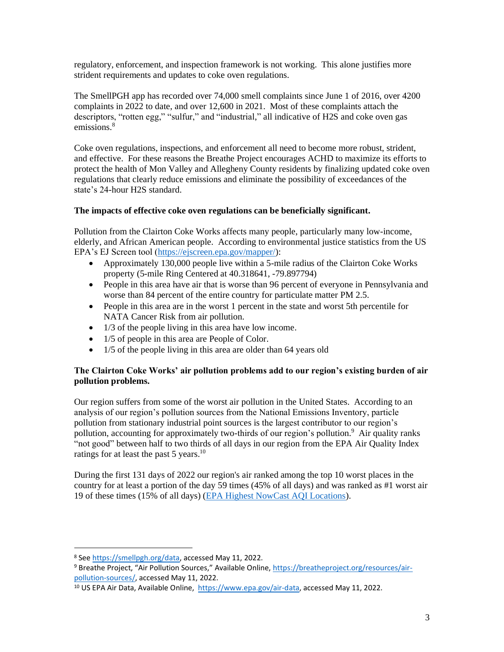regulatory, enforcement, and inspection framework is not working. This alone justifies more strident requirements and updates to coke oven regulations.

The SmellPGH app has recorded over 74,000 smell complaints since June 1 of 2016, over 4200 complaints in 2022 to date, and over 12,600 in 2021. Most of these complaints attach the descriptors, "rotten egg," "sulfur," and "industrial," all indicative of H2S and coke oven gas emissions.<sup>8</sup>

Coke oven regulations, inspections, and enforcement all need to become more robust, strident, and effective. For these reasons the Breathe Project encourages ACHD to maximize its efforts to protect the health of Mon Valley and Allegheny County residents by finalizing updated coke oven regulations that clearly reduce emissions and eliminate the possibility of exceedances of the state's 24-hour H2S standard.

## **The impacts of effective coke oven regulations can be beneficially significant.**

Pollution from the Clairton Coke Works affects many people, particularly many low-income, elderly, and African American people. According to environmental justice statistics from the US EPA's EJ Screen tool [\(https://ejscreen.epa.gov/mapper/\)](https://ejscreen.epa.gov/mapper/):

- Approximately 130,000 people live within a 5-mile radius of the Clairton Coke Works property (5-mile Ring Centered at 40.318641, -79.897794)
- People in this area have air that is worse than 96 percent of everyone in Pennsylvania and worse than 84 percent of the entire country for particulate matter PM 2.5.
- People in this area are in the worst 1 percent in the state and worst 5th percentile for NATA Cancer Risk from air pollution.
- 1/3 of the people living in this area have low income.
- 1/5 of people in this area are People of Color.
- 1/5 of the people living in this area are older than 64 years old

## **The Clairton Coke Works' air pollution problems add to our region's existing burden of air pollution problems.**

Our region suffers from some of the worst air pollution in the United States. According to an analysis of our region's pollution sources from the National Emissions Inventory, particle pollution from stationary industrial point sources is the largest contributor to our region's pollution, accounting for approximately two-thirds of our region's pollution.<sup>9</sup> Air quality ranks "not good" between half to two thirds of all days in our region from the EPA Air Quality Index ratings for at least the past 5 years.<sup>10</sup>

During the first 131 days of 2022 our region's air ranked among the top 10 worst places in the country for at least a portion of the day 59 times (45% of all days) and was ranked as #1 worst air 19 of these times (15% of all days) [\(EPA Highest NowCast AQI Locations\)](https://www.airnow.gov/national-maps/).

<sup>8</sup> Se[e https://smellpgh.org/data,](https://smellpgh.org/data) accessed May 11, 2022.

<sup>9</sup> Breathe Project, "Air Pollution Sources," Available Online, [https://breatheproject.org/resources/air](https://breatheproject.org/resources/air-pollution-sources/)[pollution-sources/,](https://breatheproject.org/resources/air-pollution-sources/) accessed May 11, 2022.

<sup>&</sup>lt;sup>10</sup> US EPA Air Data, Available Online, [https://www.epa.gov/air-data,](https://www.epa.gov/air-data) accessed May 11, 2022.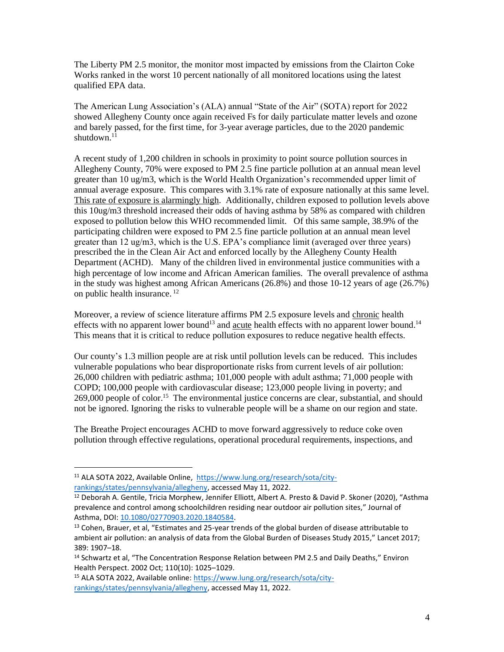The Liberty PM 2.5 monitor, the monitor most impacted by emissions from the Clairton Coke Works ranked in the worst 10 percent nationally of all monitored locations using the latest qualified EPA data.

The American Lung Association's (ALA) annual "State of the Air" (SOTA) report for 2022 showed Allegheny County once again received Fs for daily particulate matter levels and ozone and barely passed, for the first time, for 3-year average particles, due to the 2020 pandemic shutdown. 11

A recent study of 1,200 children in schools in proximity to point source pollution sources in Allegheny County, 70% were exposed to PM 2.5 fine particle pollution at an annual mean level greater than 10 ug/m3, which is the World Health Organization's recommended upper limit of annual average exposure. This compares with 3.1% rate of exposure nationally at this same level. This rate of exposure is alarmingly high. Additionally, children exposed to pollution levels above this 10ug/m3 threshold increased their odds of having asthma by 58% as compared with children exposed to pollution below this WHO recommended limit. Of this same sample, 38.9% of the participating children were exposed to PM 2.5 fine particle pollution at an annual mean level greater than  $12 \text{ ug/m}$ , which is the U.S. EPA's compliance limit (averaged over three years) prescribed the in the Clean Air Act and enforced locally by the Allegheny County Health Department (ACHD). Many of the children lived in environmental justice communities with a high percentage of low income and African American families. The overall prevalence of asthma in the study was highest among African Americans (26.8%) and those 10-12 years of age (26.7%) on public health insurance.<sup>12</sup>

Moreover, a review of science literature affirms PM 2.5 exposure levels and chronic health effects with no apparent lower bound<sup>13</sup> and <u>acute</u> health effects with no apparent lower bound.<sup>14</sup> This means that it is critical to reduce pollution exposures to reduce negative health effects.

Our county's 1.3 million people are at risk until pollution levels can be reduced. This includes vulnerable populations who bear disproportionate risks from current levels of air pollution: 26,000 children with pediatric asthma; 101,000 people with adult asthma; 71,000 people with COPD; 100,000 people with cardiovascular disease; 123,000 people living in poverty; and 269,000 people of color.<sup>15</sup> The environmental justice concerns are clear, substantial, and should not be ignored. Ignoring the risks to vulnerable people will be a shame on our region and state.

The Breathe Project encourages ACHD to move forward aggressively to reduce coke oven pollution through effective regulations, operational procedural requirements, inspections, and

<sup>11</sup> ALA SOTA 2022, Available Online, [https://www.lung.org/research/sota/city](https://www.lung.org/research/sota/city-rankings/states/pennsylvania/allegheny)[rankings/states/pennsylvania/allegheny,](https://www.lung.org/research/sota/city-rankings/states/pennsylvania/allegheny) accessed May 11, 2022.

<sup>12</sup> Deborah A. Gentile, Tricia Morphew, Jennifer Elliott, Albert A. Presto & David P. Skoner (2020), "Asthma prevalence and control among schoolchildren residing near outdoor air pollution sites," Journal of Asthma, DOI: [10.1080/02770903.2020.1840584.](https://doi.org/10.1080/02770903.2020.1840584)

 $13$  Cohen, Brauer, et al, "Estimates and 25-year trends of the global burden of disease attributable to ambient air pollution: an analysis of data from the Global Burden of Diseases Study 2015," Lancet 2017; 389: 1907–18.

<sup>&</sup>lt;sup>14</sup> Schwartz et al, "The Concentration Response Relation between PM 2.5 and Daily Deaths," Environ Health Perspect. 2002 Oct; 110(10): 1025–1029.

<sup>15</sup> ALA SOTA 2022, Available online: [https://www.lung.org/research/sota/city](https://www.lung.org/research/sota/city-rankings/states/pennsylvania/allegheny)[rankings/states/pennsylvania/allegheny,](https://www.lung.org/research/sota/city-rankings/states/pennsylvania/allegheny) accessed May 11, 2022.